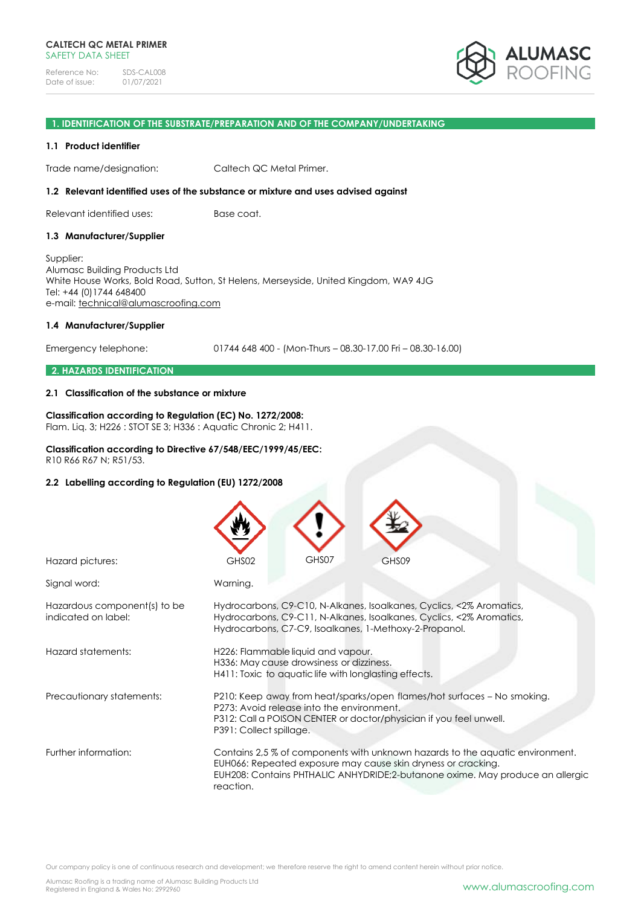### **1. IDENTIFICATION OF THE SUBSTRATE/PREPARATION AND OF THE COMPANY/UNDERTAKING**

### **1.1 Product identifier**

Trade name/designation: Caltech QC Metal Primer.

### **1.2 Relevant identified uses of the substance or mixture and uses advised against**

Relevant identified uses: Base coat.

### **1.3 Manufacturer/Supplier**

Supplier: Alumasc Building Products Ltd White House Works, Bold Road, Sutton, St Helens, Merseyside, United Kingdom, WA9 4JG Tel: +44 (0)1744 648400 e-mail: [technical@alumascroofing.com](mailto:technical@alumascroofing.com)

### **1.4 Manufacturer/Supplier**

Emergency telephone: 01744 648 400 - (Mon-Thurs – 08.30-17.00 Fri – 08.30-16.00)

### **2. HAZARDS IDENTIFICATION**

### **2.1 Classification of the substance or mixture**

# **Classification according to Regulation (EC) No. 1272/2008:**

Flam. Liq. 3; H226 : STOT SE 3; H336 : Aquatic Chronic 2; H411.

# **Classification according to Directive 67/548/EEC/1999/45/EEC:**

R10 R66 R67 N; R51/53.

### **2.2 Labelling according to Regulation (EU) 1272/2008**

| Hazard pictures:                                    | GHS07<br>GHS02<br>GHS09                                                                                                                                                                                                                     |
|-----------------------------------------------------|---------------------------------------------------------------------------------------------------------------------------------------------------------------------------------------------------------------------------------------------|
| Signal word:                                        | Warning.                                                                                                                                                                                                                                    |
| Hazardous component(s) to be<br>indicated on label: | Hydrocarbons, C9-C10, N-Alkanes, Isoalkanes, Cyclics, <2% Aromatics,<br>Hydrocarbons, C9-C11, N-Alkanes, Isoalkanes, Cyclics, <2% Aromatics,<br>Hydrocarbons, C7-C9, Isoalkanes, 1-Methoxy-2-Propanol.                                      |
| Hazard statements:                                  | H226: Flammable liquid and vapour.<br>H336: May cause drowsiness or dizziness.<br>H411: Toxic to aquatic life with longlasting effects.                                                                                                     |
| Precautionary statements:                           | P210: Keep away from heat/sparks/open flames/hot surfaces - No smoking.<br>P273: Avoid release into the environment.<br>P312: Call a POISON CENTER or doctor/physician if you feel unwell.<br>P391: Collect spillage.                       |
| Further information:                                | Contains 2,5% of components with unknown hazards to the aquatic environment.<br>EUH066: Repeated exposure may cause skin dryness or cracking.<br>EUH208: Contains PHTHALIC ANHYDRIDE;2-butanone oxime. May produce an allergic<br>reaction. |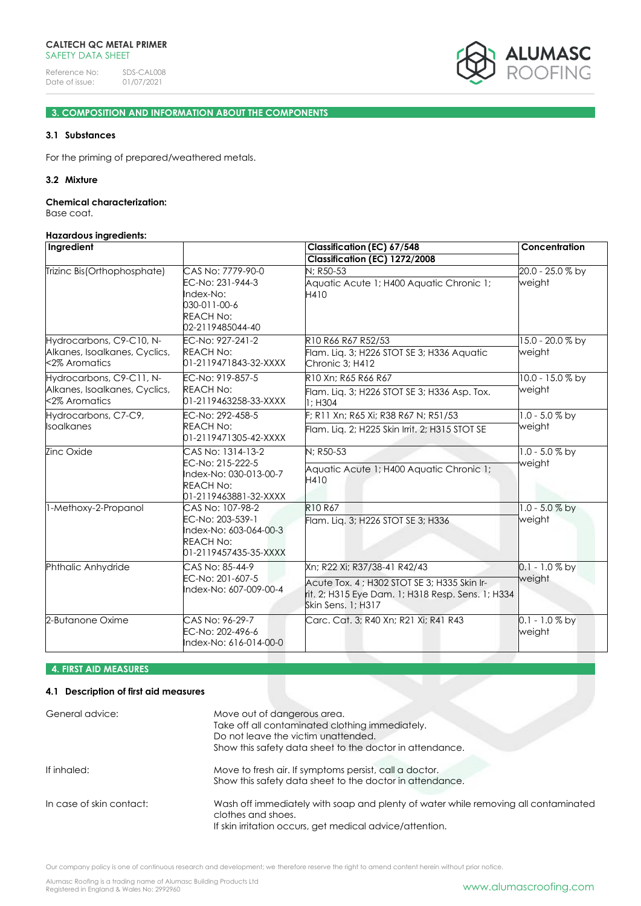

# **3. COMPOSITION AND INFORMATION ABOUT THE COMPONENTS**

# **3.1 Substances**

For the priming of prepared/weathered metals.

### **3.2 Mixture**

#### **Chemical characterization:**

Base coat.

# **Hazardous ingredients:**

| Ingredient                                                                                          |                                                                                                            | <b>Classification (EC) 67/548</b>                                                                                      | Concentration              |  |
|-----------------------------------------------------------------------------------------------------|------------------------------------------------------------------------------------------------------------|------------------------------------------------------------------------------------------------------------------------|----------------------------|--|
| Trizinc Bis(Orthophosphate)                                                                         | CAS No: 7779-90-0<br>EC-No: 231-944-3<br>Index-No:<br>030-011-00-6<br><b>REACH No:</b><br>02-2119485044-40 | Classification (EC) 1272/2008<br>N: R50-53<br>Aquatic Acute 1; H400 Aquatic Chronic 1;<br>H410                         | 20.0 - 25.0 % by<br>weight |  |
| Hydrocarbons, C9-C10, N-<br>Alkanes, Isoalkanes, Cyclics,<br><2% Aromatics                          | EC-No: 927-241-2<br><b>REACH No:</b><br>01-2119471843-32-XXXX                                              | R10 R66 R67 R52/53<br>Flam. Liq. 3; H226 STOT SE 3; H336 Aquatic<br>Chronic 3; H412                                    | 15.0 - 20.0 % by<br>weight |  |
| Hydrocarbons, C9-C11, N-<br>Alkanes, Isoalkanes, Cyclics,<br><2% Aromatics                          | EC-No: 919-857-5<br><b>REACH No:</b><br>01-2119463258-33-XXXX                                              | R10 Xn: R65 R66 R67<br>Flam. Lig. 3; H226 STOT SE 3; H336 Asp. Tox.<br>1; H304                                         | 10.0 - 15.0 % by<br>weight |  |
| Hydrocarbons, C7-C9,<br>EC-No: 292-458-5<br>Isoalkanes<br><b>REACH No:</b><br>01-2119471305-42-XXXX |                                                                                                            | F; R11 Xn; R65 Xi; R38 R67 N; R51/53<br>Flam. Lig. 2; H225 Skin Irrit. 2; H315 STOT SE                                 | $1.0 - 5.0 %$ by<br>weight |  |
| Zinc Oxide                                                                                          | CAS No: 1314-13-2                                                                                          | N; R50-53                                                                                                              | $1.0 - 5.0 %$ by           |  |
|                                                                                                     | EC-No: 215-222-5<br>Index-No: 030-013-00-7<br><b>REACH No:</b><br>01-2119463881-32-XXXX                    | Aquatic Acute 1; H400 Aquatic Chronic 1;<br>H410                                                                       | weight                     |  |
| -Methoxy-2-Propanol                                                                                 | CAS No: 107-98-2                                                                                           | R10 R67                                                                                                                | $1.0 - 5.0 %$ by           |  |
|                                                                                                     | EC-No: 203-539-1<br>Index-No: 603-064-00-3<br><b>REACH No:</b><br>01-2119457435-35-XXXX                    | Flam. Liq. 3; H226 STOT SE 3; H336                                                                                     | weight                     |  |
| Phthalic Anhydride                                                                                  | CAS No: 85-44-9                                                                                            | Xn: R22 Xi: R37/38-41 R42/43                                                                                           | $0.1 - 1.0 %$ by           |  |
|                                                                                                     | EC-No: 201-607-5<br>Index-No: 607-009-00-4                                                                 | Acute Tox. 4; H302 STOT SE 3; H335 Skin Ir-<br>rit. 2; H315 Eye Dam. 1; H318 Resp. Sens. 1; H334<br>Skin Sens. 1: H317 | weight                     |  |
| 2-Butanone Oxime                                                                                    | CAS No: 96-29-7<br>EC-No: 202-496-6<br>Index-No: 616-014-00-0                                              | Carc. Cat. 3; R40 Xn; R21 Xi; R41 R43                                                                                  | $0.1 - 1.0 %$ by<br>weight |  |

# **4. FIRST AID MEASURES**

# **4.1 Description of first aid measures**

| General advice:          | Move out of dangerous area.<br>Take off all contaminated clothing immediately.<br>Do not leave the victim unattended.<br>Show this safety data sheet to the doctor in attendance. |
|--------------------------|-----------------------------------------------------------------------------------------------------------------------------------------------------------------------------------|
| If inhaled:              | Move to fresh air. If symptoms persist, call a doctor.<br>Show this safety data sheet to the doctor in attendance.                                                                |
| In case of skin contact: | Wash off immediately with soap and plenty of water while removing all contaminated<br>clothes and shoes.<br>If skin irritation occurs, get medical advice/attention.              |

Our company policy is one of continuous research and development; we therefore reserve the right to amend content herein without prior notice.

Alumasc Roofing is a trading name of Alumasc Building Products Ltd<br>Registered in England & Wales No: 2992960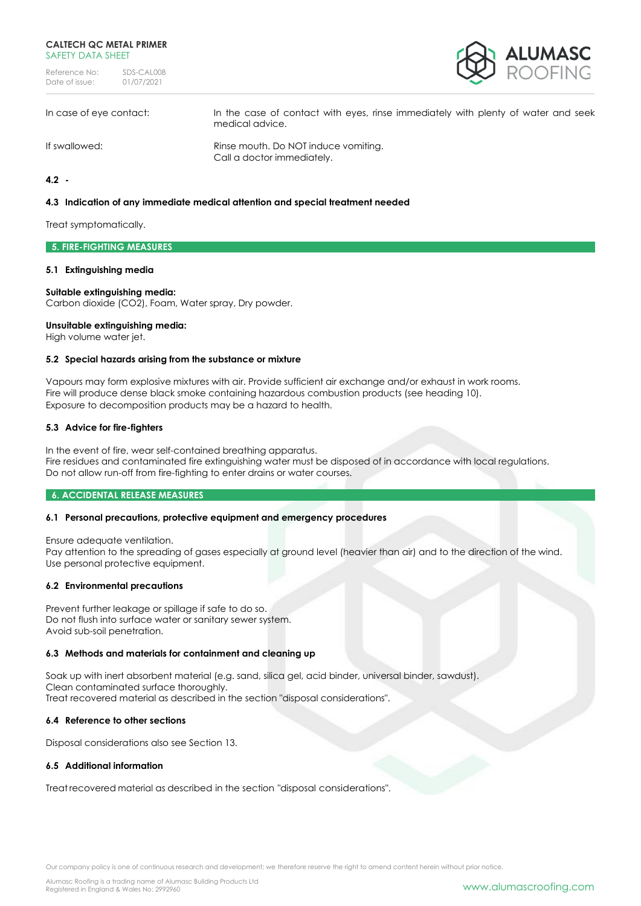Reference No: SDS-CAL008<br>Date of issue: 01/07/2021 Date of issue:



In case of eye contact: In the case of contact with eyes, rinse immediately with plenty of water and seek

medical advice.

If swallowed: Rinse mouth. Do NOT induce vomiting. Call a doctor immediately.

**4.2 -**

### **4.3 Indication of any immediate medical attention and special treatment needed**

Treat symptomatically.

### **5. FIRE-FIGHTING MEASURES**

### **5.1 Extinguishing media**

### **Suitable extinguishing media:**

Carbon dioxide (CO2), Foam, Water spray, Dry powder.

### **Unsuitable extinguishing media:**

High volume water jet.

### **5.2 Special hazards arising from the substance or mixture**

Vapours may form explosive mixtures with air. Provide sufficient air exchange and/or exhaust in work rooms. Fire will produce dense black smoke containing hazardous combustion products (see heading 10). Exposure to decomposition products may be a hazard to health.

### **5.3 Advice for fire-fighters**

In the event of fire, wear self-contained breathing apparatus. Fire residues and contaminated fire extinguishing water must be disposed of in accordance with local regulations. Do not allow run-off from fire-fighting to enter drains or water courses.

### **6. ACCIDENTAL RELEASE MEASURES**

### **6.1 Personal precautions, protective equipment and emergency procedures**

Ensure adequate ventilation.

Pay attention to the spreading of gases especially at ground level (heavier than air) and to the direction of the wind. Use personal protective equipment.

### **6.2 Environmental precautions**

Prevent further leakage or spillage if safe to do so. Do not flush into surface water or sanitary sewer system. Avoid sub-soil penetration.

### **6.3 Methods and materials for containment and cleaning up**

Soak up with inert absorbent material (e.g. sand, silica gel, acid binder, universal binder, sawdust). Clean contaminated surface thoroughly. Treat recovered material as described in the section "disposal considerations".

#### **6.4 Reference to other sections**

Disposal considerations also see Section 13.

### **6.5 Additional information**

Treat recovered material as described in the section "disposal considerations".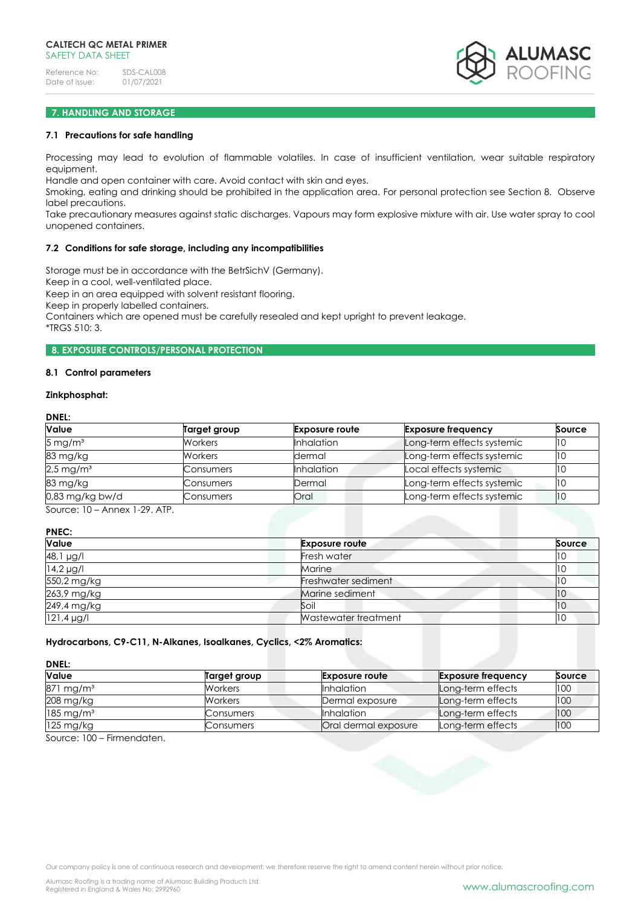

# **7. HANDLING AND STORAGE**

# **7.1 Precautions for safe handling**

Processing may lead to evolution of flammable volatiles. In case of insufficient ventilation, wear suitable respiratory equipment.

Handle and open container with care. Avoid contact with skin and eyes.

Smoking, eating and drinking should be prohibited in the application area. For personal protection see Section 8. Observe label precautions.

Take precautionary measures against static discharges. Vapours may form explosive mixture with air. Use water spray to cool unopened containers.

#### **7.2 Conditions for safe storage, including any incompatibilities**

Storage must be in accordance with the BetrSichV (Germany).

Keep in a cool, well-ventilated place.

Keep in an area equipped with solvent resistant flooring.

Keep in properly labelled containers.

Containers which are opened must be carefully resealed and kept upright to prevent leakage.

\*TRGS 510: 3.

### **8. EXPOSURE CONTROLS/PERSONAL PROTECTION**

### **8.1 Control parameters**

### **Zinkphosphat:**

**DNEL:**

| <b>Value</b>            | Target group   | <b>Exposure route</b> | <b>Exposure frequency</b>  | Source |
|-------------------------|----------------|-----------------------|----------------------------|--------|
| $5 \,\mathrm{mg/m^3}$   | <b>Workers</b> | <b>Inhalation</b>     | Long-term effects systemic | 11 O   |
| 83 mg/kg                | <b>Workers</b> | dermal                | Long-term effects systemic | 10     |
| $2.5 \,\mathrm{mg/m^3}$ | Consumers      | <b>Inhalation</b>     | Local effects systemic     |        |
| 83 mg/kg                | Consumers      | Dermal                | Long-term effects systemic | 110    |
| $0.83$ mg/kg bw/d       | Consumers      | Oral                  | Long-term effects systemic | 11 O   |
| 0.1011011011001170      |                |                       |                            |        |

Source: 10 – Annex 1-29. ATP.

**PNEC:**

| Value           | <b>Exposure route</b> | Source |
|-----------------|-----------------------|--------|
| 48,1 µg/l       | <b>Fresh water</b>    | 10     |
| $14.2 \mu g/l$  | Marine                | 10     |
| 550,2 mg/kg     | Freshwater sediment   |        |
| 263,9 mg/kg     | Marine sediment       | 10     |
| 249,4 mg/kg     | Soil                  | 110    |
| $121.4 \mu g/l$ | Wastewater treatment  | 10     |

# **Hydrocarbons, C9-C11, N-Alkanes, Isoalkanes, Cyclics, <2% Aromatics:**

**DNEL:**

| Value                   | Target group   | <b>Exposure route</b> | <b>Exposure frequency</b> | Source |
|-------------------------|----------------|-----------------------|---------------------------|--------|
| 871 mg/m <sup>3</sup>   | <b>Workers</b> | <b>Inhalation</b>     | Long-term effects         | 100    |
| 208 mg/kg               | Workers        | Dermal exposure       | Long-term effects         | 100    |
| $185 \,\mathrm{mg/m^3}$ | Consumers      | <b>Inhalation</b>     | Long-term effects         | 100    |
| $125 \text{ mg/kg}$     | Consumers      | Oral dermal exposure  | Long-term effects         | 100    |

Source: 100 – Firmendaten.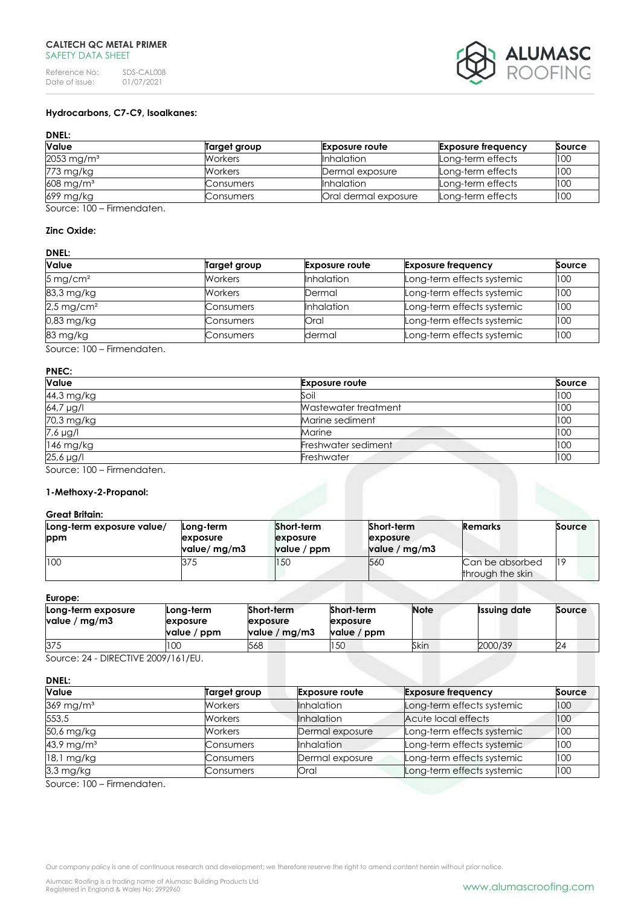

# **Hydrocarbons, C7-C9, Isoalkanes:**

# **DNEL:**

| Value                    | Target group   | <b>Exposure route</b> | <b>Exposure frequency</b> | Source |
|--------------------------|----------------|-----------------------|---------------------------|--------|
| $2053 \,\mathrm{mg/m^3}$ | Workers        | <b>Inhalation</b>     | Long-term effects         | 100    |
| 773 mg/kg                | <b>Workers</b> | Dermal exposure       | Long-term effects         | 100    |
| $608$ mg/m <sup>3</sup>  | Consumers      | <b>I</b> nhalation    | Long-term effects         | 100    |
| 699 mg/kg                | Consumers      | Oral dermal exposure  | Long-term effects         | 100    |

Source: 100 – Firmendaten.

# **Zinc Oxide:**

# **DNEL:**

| Value                    | Target group   | <b>Exposure route</b> | <b>Exposure frequency</b>  | Source |
|--------------------------|----------------|-----------------------|----------------------------|--------|
| $5 \,\mathrm{mg/cm^2}$   | <b>Workers</b> | <b>Inhalation</b>     | Long-term effects systemic | 100    |
| 83,3 mg/kg               | <b>Workers</b> | Dermal                | Long-term effects systemic | 100    |
| $2.5 \,\mathrm{mg/cm^2}$ | Consumers      | <b>Inhalation</b>     | Long-term effects systemic | 100    |
| $0.83$ mg/kg             | Consumers      | Oral                  | Long-term effects systemic | 100    |
| 83 mg/kg                 | Consumers      | dermal                | Long-term effects systemic | 100    |

Source: 100 – Firmendaten.

# **PNEC:**

| <b>Value</b> | <b>Exposure route</b> | Source |
|--------------|-----------------------|--------|
| 44,3 mg/kg   | Soil                  | 100    |
| 64,7 µg/l    | Wastewater treatment  | 100    |
| 70,3 mg/kg   | Marine sediment       | 100    |
| 7,6 µg/l     | Marine                | 100    |
| 146 mg/kg    | Freshwater sediment   | 100    |
| 25,6 µg/l    | Freshwater            | 100    |

Source: 100 – Firmendaten.

# **1-Methoxy-2-Propanol:**

# **Great Britain:**

| Long-term exposure value/<br>ppm | Long-term<br>exposure<br>value/ mg/m3 | Short-term<br>exposure<br>value / ppm | Short-term<br>exposure<br>value / mg/m3 | <b>Remarks</b>                      | Source |
|----------------------------------|---------------------------------------|---------------------------------------|-----------------------------------------|-------------------------------------|--------|
| 100                              | 375                                   | 150                                   | 56C                                     | Can be absorbed<br>through the skin | 119    |

### **Europe:**

| Long-term exposure<br>value / $mg/m3$ | Long-term<br><b>lexposure</b><br>value / ppm | Short-term<br>exposure<br>value / mg/m3 | Short-term<br>exposure<br>value / ppm | <b>Note</b> | <b>Issuing date</b> | Source |
|---------------------------------------|----------------------------------------------|-----------------------------------------|---------------------------------------|-------------|---------------------|--------|
| 375                                   | 100                                          | 568                                     | 150                                   | Skin        | 2000/39             | 24     |

Source: 24 - DIRECTIVE 2009/161/EU.

# **DNEL:**

| <b>Value</b>             | Target group | <b>Exposure route</b> | <b>Exposure frequency</b>  | Source |
|--------------------------|--------------|-----------------------|----------------------------|--------|
| $369$ mg/m <sup>3</sup>  | Workers      | <b>Inhalation</b>     | Long-term effects systemic | 100    |
| 553,5                    | Workers      | <b>Inhalation</b>     | Acute local effects        | 100    |
| 50,6 mg/kg               | Workers      | Dermal exposure       | Long-term effects systemic | 100    |
| $43.9 \,\mathrm{mg/m^3}$ | Consumers    | <b>Inhalation</b>     | Long-term effects systemic | 100    |
| $18.1$ mg/kg             | Consumers    | Dermal exposure       | Long-term effects systemic | 100    |
| $3,3$ mg/kg              | Consumers    | Oral                  | Long-term effects systemic | 100    |

Source: 100 – Firmendaten.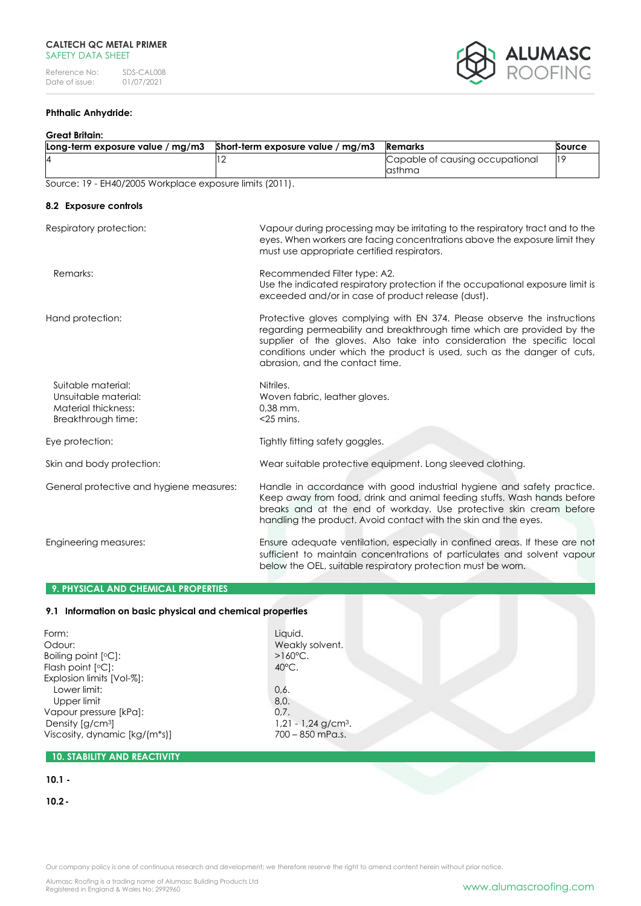

# **Phthalic Anhydride:**

### **Great Britain:**

| Long-term exposure value / mg/m3                                                        | Short-term exposure value / mg/m3                                                  | <b>Remarks</b>                                                                                                                                                                                                                                                                                           | Source |
|-----------------------------------------------------------------------------------------|------------------------------------------------------------------------------------|----------------------------------------------------------------------------------------------------------------------------------------------------------------------------------------------------------------------------------------------------------------------------------------------------------|--------|
| 4                                                                                       | 12                                                                                 | Capable of causing occupational<br>asthma                                                                                                                                                                                                                                                                | 19     |
| Source: 19 - EH40/2005 Workplace exposure limits (2011).                                |                                                                                    |                                                                                                                                                                                                                                                                                                          |        |
| 8.2 Exposure controls                                                                   |                                                                                    |                                                                                                                                                                                                                                                                                                          |        |
| Respiratory protection:                                                                 | must use appropriate certified respirators.                                        | Vapour during processing may be irritating to the respiratory tract and to the<br>eyes. When workers are facing concentrations above the exposure limit they                                                                                                                                             |        |
| Remarks:                                                                                | Recommended Filter type: A2.<br>exceeded and/or in case of product release (dust). | Use the indicated respiratory protection if the occupational exposure limit is                                                                                                                                                                                                                           |        |
| Hand protection:                                                                        | abrasion, and the contact time.                                                    | Protective gloves complying with EN 374. Please observe the instructions<br>regarding permeability and breakthrough time which are provided by the<br>supplier of the gloves. Also take into consideration the specific local<br>conditions under which the product is used, such as the danger of cuts, |        |
| Suitable material:<br>Unsuitable material:<br>Material thickness:<br>Breakthrough time: | Nitriles.<br>Woven fabric, leather gloves.<br>$0.38$ mm.<br>$<$ 25 mins.           |                                                                                                                                                                                                                                                                                                          |        |
| Eye protection:                                                                         | Tightly fitting safety goggles.                                                    |                                                                                                                                                                                                                                                                                                          |        |
| Skin and body protection:                                                               |                                                                                    | Wear suitable protective equipment. Long sleeved clothing.                                                                                                                                                                                                                                               |        |
| General protective and hygiene measures:                                                |                                                                                    | Handle in accordance with good industrial hygiene and safety practice.<br>Keep away from food, drink and animal feeding stuffs. Wash hands before<br>breaks and at the end of workday. Use protective skin cream before<br>handling the product. Avoid contact with the skin and the eyes.               |        |
| Engineering measures:                                                                   |                                                                                    | Ensure adequate ventilation, especially in confined areas. If these are not<br>sufficient to maintain concentrations of particulates and solvent vapour<br>below the OEL, suitable respiratory protection must be worn.                                                                                  |        |

# **9. PHYSICAL AND CHEMICAL PROPERTIES**

# **9.1 Information on basic physical and chemical properties**

| Form:                         | Liquid.                           |  |
|-------------------------------|-----------------------------------|--|
| Odour:                        | Weakly solvent.                   |  |
| Boiling point [°C]:           | $>160^{\circ}$ C.                 |  |
| Flash point $[°C]$ :          | $40^{\circ}$ C.                   |  |
| Explosion limits [Vol-%]:     |                                   |  |
| Lower limit:                  | 0,6.                              |  |
| Upper limit                   | 8,0.                              |  |
| Vapour pressure [kPa]:        | 0.7.                              |  |
| Density $[g/cm^3]$            | $1,21 - 1,24$ g/cm <sup>3</sup> . |  |
| Viscosity, dynamic [kg/(m*s)] | $700 - 850$ mPa.s.                |  |
|                               |                                   |  |

# **10. STABILITY AND REACTIVITY**

# **10.1 -**

**10.2-**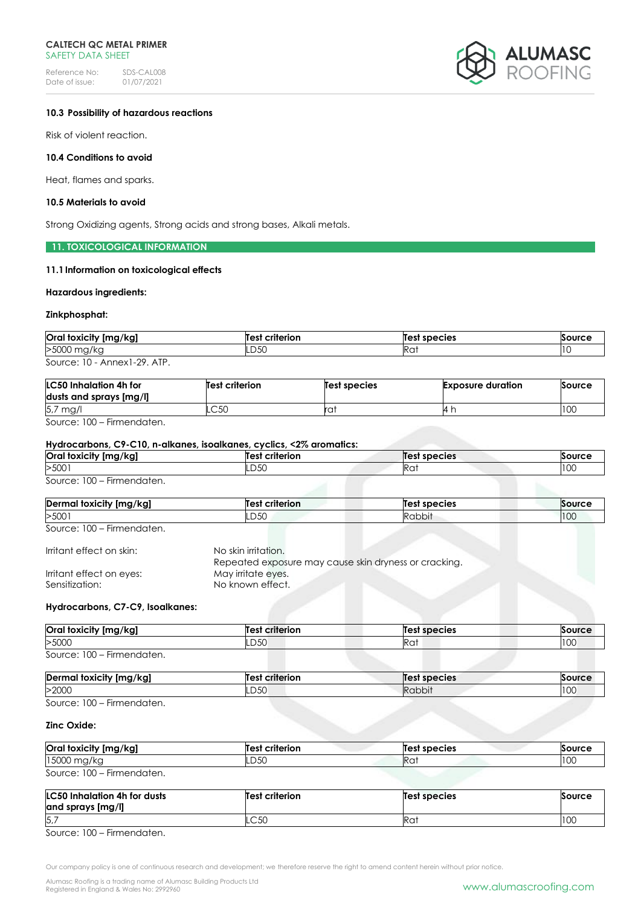Reference No: SDS-CAL008<br>Date of issue: 01/07/2021 Date of issue:



### **10.3 Possibility of hazardous reactions**

Risk of violent reaction.

### **10.4 Conditions to avoid**

Heat, flames and sparks.

### **10.5 Materials to avoid**

Strong Oxidizing agents, Strong acids and strong bases, Alkali metals.

### **11. TOXICOLOGICAL INFORMATION**

# **11.1Information on toxicological effects**

### **Hazardous ingredients:**

### **Zinkphosphat:**

| <b>Oral toxicity</b><br>[mg/kg] | est<br><b>criterion</b> | species<br>Tes' | `ourc⊾ |
|---------------------------------|-------------------------|-----------------|--------|
| >5000<br>'' mg/ky               | LD50 -                  | Ka:             | ט ו    |
|                                 |                         |                 |        |

Source: 10 - Annex1-29. ATP.

| <b>LC50 Inhalation 4h for</b> | <b>Test criterion</b> | Test species | <b>Exposure duration</b> | Source |
|-------------------------------|-----------------------|--------------|--------------------------|--------|
| dusts and sprays [mg/l]       |                       |              |                          |        |
| 5,7 mg/                       | ⌒∽∩<br>−∽∽            | ra.          | 14 r.                    | 100    |

Source: 100 – Firmendaten.

### **Hydrocarbons, C9-C10, n-alkanes, isoalkanes, cyclics, <2% aromatics:**

| <b>Oral toxicity</b><br>[mg/kg]                                                                                                         | Test<br>criterion | <b>Test species</b> | <b>Source</b> |
|-----------------------------------------------------------------------------------------------------------------------------------------|-------------------|---------------------|---------------|
| >5001                                                                                                                                   | LD50              | າ ~<br>πu           | 100           |
| and the state of the state of the state of the state of the state of the state of the state of the state of the<br>$\sim$ $\sim$ $\sim$ |                   |                     |               |

Source: 100 – Firmendaten.

| Dermo<br>⊺toxicity [mg/kg] | Test<br>criterion | Test species | Source |
|----------------------------|-------------------|--------------|--------|
| >5001                      | LD50              | Kabbit       | 100    |

Source: 100 – Firmendaten.

| Irritant effect on skin: | No skin irritation. |
|--------------------------|---------------------|
|                          | Repeated exposu     |
|                          |                     |

|                          | Repeated exposure may cause skin dryness or cracking. |
|--------------------------|-------------------------------------------------------|
| Irritant effect on eyes: | May irritate eyes.                                    |
| Sensitization:           | No known effect.                                      |
|                          |                                                       |

# **Hydrocarbons, C7-C9, Isoalkanes:**

| Oral toxicity [mg/kg]                                                               | <b>Test criterion</b> | Test species | <b>Source</b> |
|-------------------------------------------------------------------------------------|-----------------------|--------------|---------------|
| >5000                                                                               | LD50                  | Rat          | 100<br>1 U U  |
| $\overline{\phantom{a}}$<br>Source: 100<br>Firmendaten.<br>$\overline{\phantom{0}}$ |                       |              |               |

| Dermal toxicity [mg/kg]                          | <b>Test criterion</b> | Test species |     |
|--------------------------------------------------|-----------------------|--------------|-----|
| >2000                                            | LD50                  | Rabbit       | 100 |
| $C = 100$<br>المتربط والمراجع والمستحقق والتناقي |                       |              |     |

Source: 100 – Firmendaten.

# **Zinc Oxide:**

| Oral toxicity [mg/kg]                                                      | <b>Test criterion</b> | Test species    | Source |
|----------------------------------------------------------------------------|-----------------------|-----------------|--------|
| 15000 mg/kg                                                                | LD50                  | Ra <sup>.</sup> | 100    |
| $\overline{\phantom{0}}$<br>Firmendaten.<br>Source: $100 -$<br>$\cdot$ $-$ |                       |                 |        |

| <b>LC50 Inhalation 4h for dusts</b><br>and sprays [mg/l] | <b>Test criterion</b> | Test species | Source |
|----------------------------------------------------------|-----------------------|--------------|--------|
| 5,                                                       | .C50                  | Rai          | 100    |

Source: 100 – Firmendaten.

Our company policy is one of continuous research and development; we therefore reserve the right to amend content herein without prior notice.

Alumasc Roofing is a trading name of Alumasc Building Products Ltd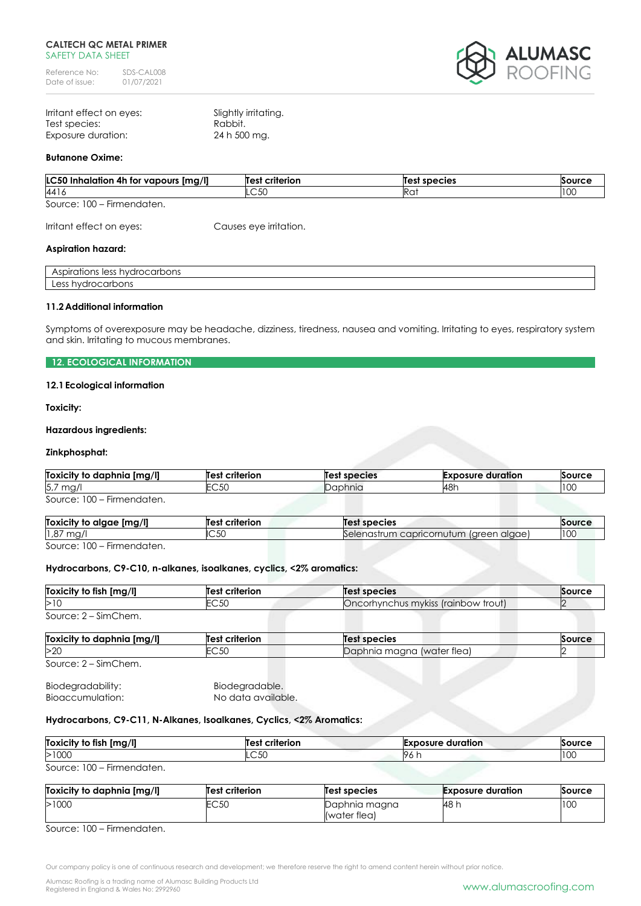Reference No: SDS-CAL008<br>Date of issue: 01/07/2021 Date of issue:



| Irritant effect on eyes: | Slightly irritating. |
|--------------------------|----------------------|
| Test species:            | Rabbit.              |
| Exposure duration:       | 24 h 500 mg.         |

### **Butanone Oxime:**

| LC50 Inhalation 4h for vapours [mg/l] | <b>Test criterion</b> | <b>Test species</b> | Source          |
|---------------------------------------|-----------------------|---------------------|-----------------|
| 4416                                  | ⌒∽∩<br>-UU            | Ra                  | 10 <sup>c</sup> |
| Source: $100 -$<br>Firmendaten.       |                       |                     |                 |

Irritant effect on eyes: Causes eye irritation.

### **Aspiration hazard:**

| $\sim$ $\sim$ $\sim$ $\sim$ $\sim$<br>$$ $$ $$ $$ $$<br>$\sim$ 00<br>הזור<br>п<br>utions.<br>$\mathcal{N}$<br>החטר: |  |
|---------------------------------------------------------------------------------------------------------------------|--|
| $\sim$ $\sim$<br>11/10 <sup>1</sup><br>ماء یہ جہ<br>$\sim$ $\sim$<br>.<br>pons<br>---                               |  |

## **11.2Additional information**

Symptoms of overexposure may be headache, dizziness, tiredness, nausea and vomiting. Irritating to eyes, respiratory system and skin. Irritating to mucous membranes.

### **12. ECOLOGICAL INFORMATION**

# **12.1Ecological information**

**Toxicity:**

### **Hazardous ingredients:**

### **Zinkphosphat:**

| Toxicity to daphnia [mg/l] | Test criterion | Test species | <b>Exposure duration</b> | Source |
|----------------------------|----------------|--------------|--------------------------|--------|
| $5.7$ mg/                  | -750<br>بال ب. | Daphnia      | <b>48</b>                | 10C    |
| Source: 100 - Firmendaten. |                |              |                          |        |

| [mg/l]<br>Toxicity to algae     | criterion<br>Tes'          | species                                    | Source |
|---------------------------------|----------------------------|--------------------------------------------|--------|
| 1,87<br>m <sub>0</sub><br>∶ ا ب | $\sim$ $\sim$ $\sim$<br>wu | lareen alaael<br>Selenastrum capricornutum | 100    |
| $\sqrt{2}$                      |                            |                                            |        |

Source: 100 – Firmendaten.

### **Hydrocarbons, C9-C10, n-alkanes, isoalkanes, cyclics, <2% aromatics:**

| Toxicity to fish [mg/l]    | Test criterion | <b>Test species</b>                 | Source |
|----------------------------|----------------|-------------------------------------|--------|
| >10                        | EC50           | Oncorhynchus mykiss (rainbow trout) |        |
| Source: 2 - SimChem.       |                |                                     |        |
| Toxicity to daphnia [mg/l] | Test criterion | <b>Test species</b>                 | Source |
| >20                        | EC50           | Daphnia magna (water flea)          |        |
| Source: 2 – SimChem.       |                |                                     |        |
| Biodegradability:          | Biodegradable. |                                     |        |

Bioaccumulation: No data available.

# **Hydrocarbons, C9-C11, N-Alkanes, Isoalkanes, Cyclics, <2% Aromatics:**

| [mg/l]<br>Toxicity<br>.<br><b>tish</b><br>īΟ | criterion<br>-les | Exposure<br>duration | Sourc.       |
|----------------------------------------------|-------------------|----------------------|--------------|
| >1000                                        | C 5C<br>しいし       | 7 U                  | 10<<br>1 U U |

Source: 100 – Firmendaten.

| Toxicity to daphnia [mg/l] | Test criterion | <b>Test species</b>           | <b>Exposure duration</b> | Source |
|----------------------------|----------------|-------------------------------|--------------------------|--------|
| >1000                      | EC50           | Daphnia magna<br>(water flea) | 48 h                     | 100    |

Source: 100 – Firmendaten.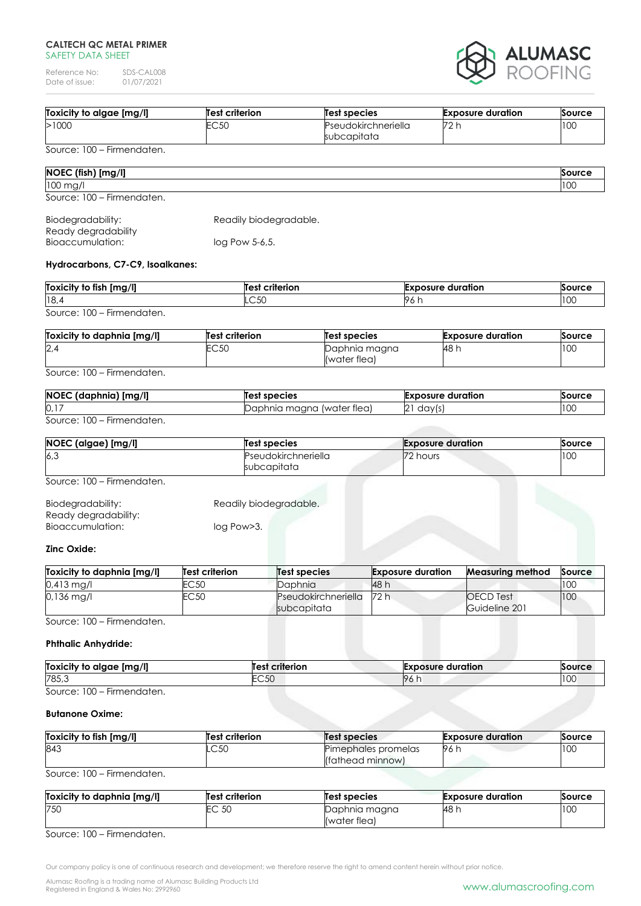Reference No: SDS-CAL008<br>Date of issue: 01/07/2021 Date of issue:



| Toxicity to algae [mg/l] | <b>Test criterion</b> | Test species                       | <b>Exposure duration</b> | Source |
|--------------------------|-----------------------|------------------------------------|--------------------------|--------|
| >1000                    | FC 50<br>∟∪∪∪         | Pseudokirchneriella<br>subcapitata | מד<br>. . <i>.</i> .     | 100    |

Source: 100 – Firmendaten.

| NOEC (fish) [mg/l]         | Source      |
|----------------------------|-------------|
| $100$ mg/ $\mu$            | 100<br>ା।∪ୋ |
| Source: 100 - Firmendaten. |             |

| Biodegradability:   | Readily biodegradable. |
|---------------------|------------------------|
| Ready degradability |                        |
| Bioaccumulation:    | $log$ Pow 5-6,5.       |

# **Hydrocarbons, C7-C9, Isoalkanes:**

| Toxicity to fish [mg/l]                         | <b>Test criterion</b> | <b>Exposure duration</b> | Source |
|-------------------------------------------------|-----------------------|--------------------------|--------|
| 18,4                                            | LC50                  | 96 h                     | 100    |
| $- \cdot$<br>$100 -$<br>Source:<br>Firmendaten. |                       |                          |        |

| Toxicity to daphnia [mg/l] | <b>Test criterion</b> | Test species                  | <b>Exposure duration</b> | Source |
|----------------------------|-----------------------|-------------------------------|--------------------------|--------|
| 2,4                        | EC50                  | Daphnia magna<br>(water flea) | - 148 r.                 | 10C    |

Source: 100 – Firmendaten.

| $\overline{11}$<br><b>NOEC</b><br>nı<br>1971) | species<br>100                       | oosure<br>duration<br>--- | sourc⁄     |
|-----------------------------------------------|--------------------------------------|---------------------------|------------|
| 0,17                                          | (water tlea)<br>maana<br>mia<br>' Hu | dav<br>▵<br>د ا           | 100<br>טטו |

Source: 100 – Firmendaten.

| NOEC (algae) [mg/l]        | Test species                       | <b>Exposure duration</b> | Source |
|----------------------------|------------------------------------|--------------------------|--------|
| 6,3                        | Pseudokirchneriella<br>subcapitata | 72 hours                 | 100    |
| Source: 100 – Firmendaten. |                                    |                          |        |

| Biodegradability:    | Readily biodegradable. |
|----------------------|------------------------|
| Ready degradability: |                        |
| Bioaccumulation:     | log Pow > 3.           |

# **Zinc Oxide:**

| Toxicity to daphnia [mg/l] | Test criterion | Test species                       | <b>Exposure duration</b> | Measuring method                  | Source |
|----------------------------|----------------|------------------------------------|--------------------------|-----------------------------------|--------|
| $0.413$ mg/l               | EC 50          | Daphnia                            | 48 h                     |                                   | 100    |
| $0.136$ mg/l               | EC 50          | Pseudokirchneriella<br>subcapitata | 72 h                     | <b>OECD</b> Test<br>Guideline 201 | 100    |

Source: 100 – Firmendaten.

# **Phthalic Anhydride:**

| Img/II<br><b>Toxicity to</b><br>alaae | criterion<br>Test            | <b>Exposure duration</b> | <b>Source</b> |
|---------------------------------------|------------------------------|--------------------------|---------------|
| 785,3                                 | $\sim$ $\sim$ $\sim$<br>:CJU | 96<br>                   | $\sim$<br>100 |
| $-$<br>$\sim$ $\sim$<br>$\sim$        |                              |                          |               |

Source: 100 – Firmendaten.

# **Butanone Oxime:**

| Toxicity to fish [mg/l] | <b>Test criterion</b> | Test species                            | <b>Exposure duration</b> | Source |
|-------------------------|-----------------------|-----------------------------------------|--------------------------|--------|
| 843                     | LC50                  | Pimephales promelas<br>(fathead minnow) | - 96 I.                  | 100    |

Source: 100 – Firmendaten.

| Toxicity to daphnia [mg/l] | Test criterion                     | <b>Test species</b> | <b>Exposure duration</b> | Source |
|----------------------------|------------------------------------|---------------------|--------------------------|--------|
| 750                        | 50<br>$\bar{\phantom{1}}$<br>LU JU | Daphnia magna       | 48 r.                    | 100    |
|                            |                                    | (water flea)        |                          |        |

Source: 100 – Firmendaten.

Our company policy is one of continuous research and development; we therefore reserve the right to amend content herein without prior notice.

Alumasc Roofing is a trading name of Alumasc Building Products Ltd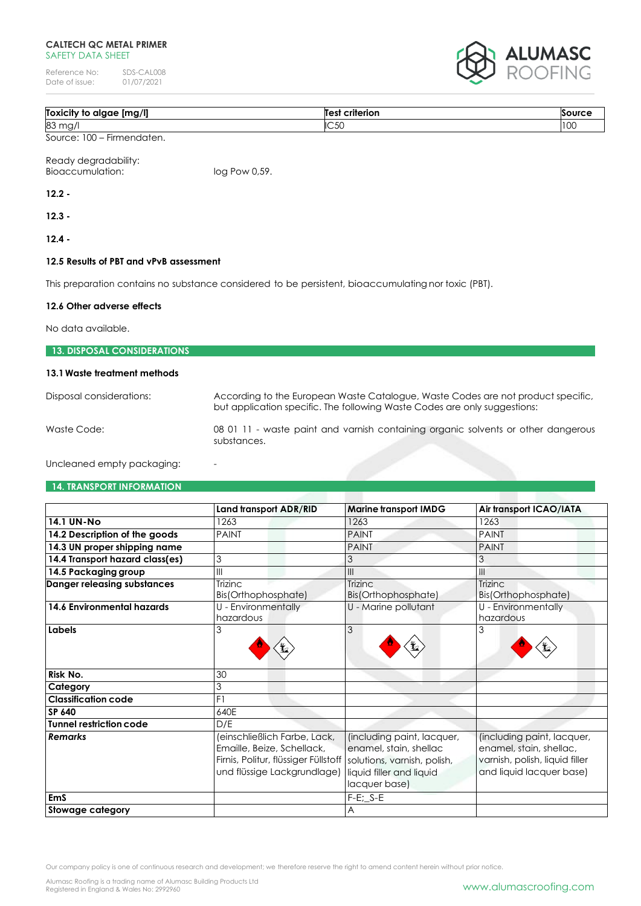Reference No: SDS-CAL008<br>Date of issue: 01/07/2021 Date of issue:



| Toxic.<br>i ma s<br>alaae<br>к<br>. ייזוע<br>π | .<br>í e c<br>пог<br>_____ |                  |
|------------------------------------------------|----------------------------|------------------|
| 83<br>3 mg,                                    | IC50                       | $\sim$<br>11 U J |

Source: 100 – Firmendaten.

Ready degradability: Bioaccumulation: log Pow 0,59.

**12.2 -**

**12.3 -**

**12.4 -**

# **12.5 Results of PBT and vPvB assessment**

This preparation contains no substance considered to be persistent, bioaccumulating nor toxic (PBT).

# **12.6 Other adverse effects**

No data available.

| <b>13. DISPOSAL CONSIDERATIONS</b> |                                                                                                                                                               |
|------------------------------------|---------------------------------------------------------------------------------------------------------------------------------------------------------------|
| 13.1 Waste treatment methods       |                                                                                                                                                               |
| Disposal considerations:           | According to the European Waste Catalogue, Waste Codes are not product specific,<br>but application specific. The following Waste Codes are only suggestions: |
| Waste Code:                        | 08 01 11 - waste paint and varnish containing organic solvents or other dangerous<br>substances.                                                              |
| Uncleaned empty packaging:         |                                                                                                                                                               |

### **14. TRANSPORT INFORMATION**

|                                 | Land transport ADR/RID                                                                                                                                          | <b>Marine transport IMDG</b>                                                                      | Air transport ICAO/IATA                                                                                             |
|---------------------------------|-----------------------------------------------------------------------------------------------------------------------------------------------------------------|---------------------------------------------------------------------------------------------------|---------------------------------------------------------------------------------------------------------------------|
| <b>14.1 UN-No</b>               | 1263                                                                                                                                                            | 1263                                                                                              | 1263                                                                                                                |
| 14.2 Description of the goods   | <b>PAINT</b>                                                                                                                                                    | <b>PAINT</b>                                                                                      | <b>PAINT</b>                                                                                                        |
| 14.3 UN proper shipping name    |                                                                                                                                                                 | <b>PAINT</b>                                                                                      | <b>PAINT</b>                                                                                                        |
| 14.4 Transport hazard class(es) | 3                                                                                                                                                               | 3                                                                                                 | 3                                                                                                                   |
| 14.5 Packaging group            | $\mathsf{III}$                                                                                                                                                  | $\mathbf{III}$                                                                                    | Ш                                                                                                                   |
| Danger releasing substances     | Trizinc<br>Bis(Orthophosphate)                                                                                                                                  | <b>Trizinc</b><br>Bis(Orthophosphate)                                                             | Trizinc<br>Bis(Orthophosphate)                                                                                      |
| 14.6 Environmental hazards      | U - Environmentally<br>hazardous                                                                                                                                | U - Marine pollutant                                                                              | U - Environmentally<br>hazardous                                                                                    |
| Labels                          | 3                                                                                                                                                               | 3                                                                                                 | 3                                                                                                                   |
| Risk No.                        | 30                                                                                                                                                              |                                                                                                   |                                                                                                                     |
| Category                        | 3                                                                                                                                                               |                                                                                                   |                                                                                                                     |
| <b>Classification code</b>      | F1                                                                                                                                                              |                                                                                                   |                                                                                                                     |
| SP 640                          | 640E                                                                                                                                                            |                                                                                                   |                                                                                                                     |
| <b>Tunnel restriction code</b>  | D/E                                                                                                                                                             |                                                                                                   |                                                                                                                     |
| <b>Remarks</b>                  | (einschließlich Farbe, Lack,<br>Emaille, Beize, Schellack,<br>Firnis, Politur, flüssiger Füllstoff   solutions, varnish, polish,<br>und flüssige Lackgrundlage) | (including paint, lacquer,<br>enamel, stain, shellac<br>liquid filler and liquid<br>lacquer base) | (including paint, lacquer,<br>enamel, stain, shellac,<br>varnish, polish, liquid filler<br>and liquid lacquer base) |
| <b>EmS</b>                      |                                                                                                                                                                 | $F-E$ ; $S-E$                                                                                     |                                                                                                                     |
| Stowage category                |                                                                                                                                                                 | A                                                                                                 |                                                                                                                     |

Our company policy is one of continuous research and development; we therefore reserve the right to amend content herein without prior notice.

Alumasc Roofing is a trading name of Alumasc Building Products Ltd<br>Registered in England & Wales No: 2992960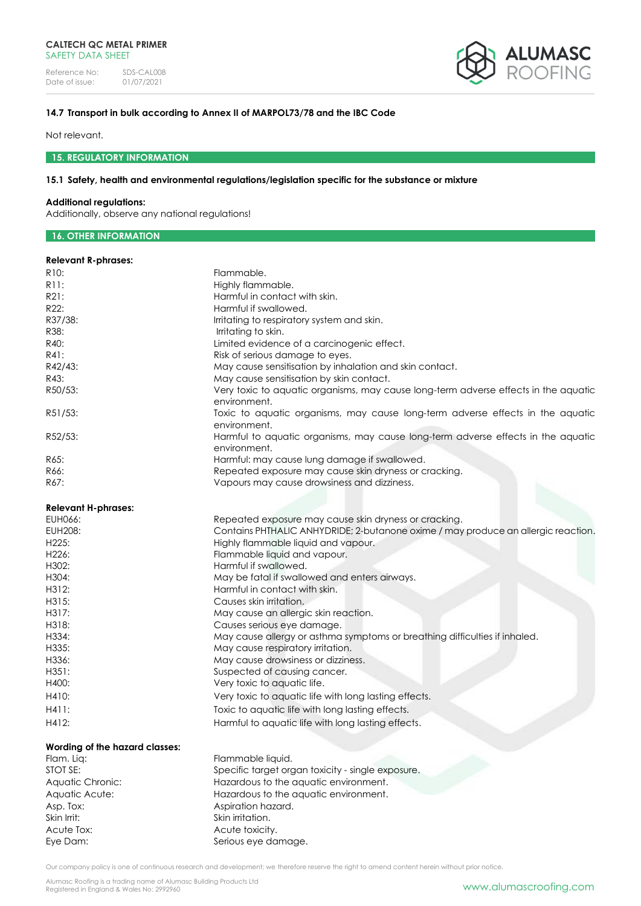Reference No: SDS-CAL008<br>Date of issue: 01/07/2021 Date of issue:



# **14.7 Transport in bulk according to Annex II of MARPOL73/78 and the IBC Code**

Not relevant.

**15. REGULATORY INFORMATION**

# **15.1 Safety, health and environmental regulations/legislation specific for the substance or mixture**

### **Additional regulations:**

Additionally, observe any national regulations!

# **16. OTHER INFORMATION**

# **Relevant R-phrases:**

| R <sub>10</sub> :              | Flammable.                                                                          |
|--------------------------------|-------------------------------------------------------------------------------------|
| R11:                           | Highly flammable.                                                                   |
| R21:                           | Harmful in contact with skin.                                                       |
| R22:                           | Harmful if swallowed.                                                               |
| R37/38:                        | Irritating to respiratory system and skin.                                          |
| R38:                           | Irritating to skin.                                                                 |
| R40:                           | Limited evidence of a carcinogenic effect.                                          |
| R41:                           | Risk of serious damage to eyes.                                                     |
| R42/43:                        | May cause sensitisation by inhalation and skin contact.                             |
| R43:                           | May cause sensitisation by skin contact.                                            |
| R50/53:                        | Very toxic to aquatic organisms, may cause long-term adverse effects in the aquatic |
|                                | environment.                                                                        |
| R51/53:                        | Toxic to aquatic organisms, may cause long-term adverse effects in the aquatic      |
|                                | environment.                                                                        |
| R52/53:                        | Harmful to aquatic organisms, may cause long-term adverse effects in the aquatic    |
|                                | environment.                                                                        |
| R65:                           | Harmful: may cause lung damage if swallowed.                                        |
| R66:                           | Repeated exposure may cause skin dryness or cracking.                               |
| R67:                           | Vapours may cause drowsiness and dizziness.                                         |
|                                |                                                                                     |
| <b>Relevant H-phrases:</b>     |                                                                                     |
| EUH066:                        | Repeated exposure may cause skin dryness or cracking.                               |
| <b>EUH208:</b>                 | Contains PHTHALIC ANHYDRIDE; 2-butanone oxime / may produce an allergic reaction.   |
| H225:                          | Highly flammable liquid and vapour.                                                 |
| H226:                          | Flammable liquid and vapour.                                                        |
| H302:                          | Harmful if swallowed.                                                               |
| H304:                          | May be fatal if swallowed and enters airways.                                       |
| H312:                          | Harmful in contact with skin.                                                       |
| H315:                          | Causes skin irritation.                                                             |
| H317:                          | May cause an allergic skin reaction.                                                |
| H318:                          |                                                                                     |
| H334:                          | Causes serious eye damage.                                                          |
| H335:                          | May cause allergy or asthma symptoms or breathing difficulties if inhaled.          |
| H336:                          | May cause respiratory irritation.                                                   |
|                                | May cause drowsiness or dizziness.                                                  |
| H351:                          | Suspected of causing cancer.                                                        |
| H400:                          | Very toxic to aquatic life.                                                         |
| H410:                          | Very toxic to aquatic life with long lasting effects.                               |
| H411:                          | Toxic to aquatic life with long lasting effects.                                    |
| H412:                          | Harmful to aquatic life with long lasting effects.                                  |
| Wording of the hazard classes: |                                                                                     |
| Flam. Liq:                     | Flammable liquid.                                                                   |
| STOT SE:                       | Specific target organ toxicity - single exposure.                                   |
| Aquatic Chronic:               | Hazardous to the aquatic environment.                                               |
| Aquatic Acute:                 | Hazardous to the aquatic environment.                                               |
| Asp. Tox:                      | Aspiration hazard.                                                                  |
| Skin Irrit:                    | Skin irritation.                                                                    |
| Acute Tox:                     | Acute toxicity.                                                                     |
| Eye Dam:                       | Serious eye damage.                                                                 |
|                                |                                                                                     |

Our company policy is one of continuous research and development; we therefore reserve the right to amend content herein without prior notice.

Alumasc Roofing is a trading name of Alumasc Building Products Ltd